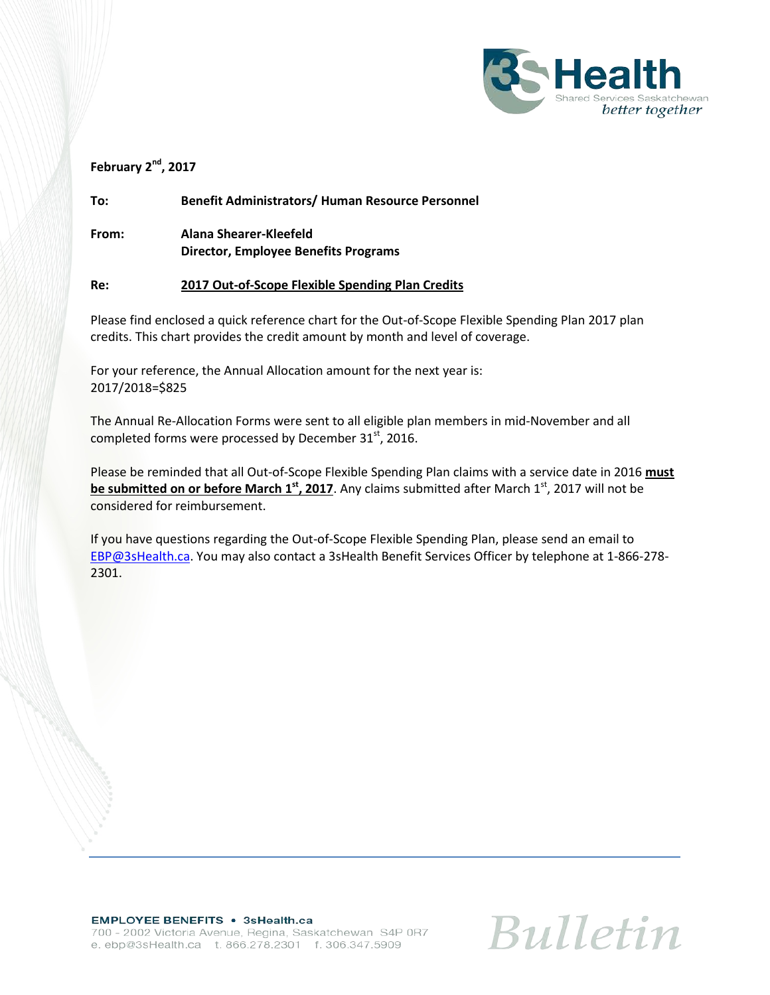

#### **February 2nd, 2017**

**To: Benefit Administrators/ Human Resource Personnel**

**From: Alana Shearer-Kleefeld Director, Employee Benefits Programs**

#### **Re: 2017 Out-of-Scope Flexible Spending Plan Credits**

Please find enclosed a quick reference chart for the Out-of-Scope Flexible Spending Plan 2017 plan credits. This chart provides the credit amount by month and level of coverage.

For your reference, the Annual Allocation amount for the next year is: 2017/2018=\$825

The Annual Re-Allocation Forms were sent to all eligible plan members in mid-November and all completed forms were processed by December 31<sup>st</sup>, 2016.

Please be reminded that all Out-of-Scope Flexible Spending Plan claims with a service date in 2016 **must be submitted on or before March 1<sup>st</sup>, 2017**. Any claims submitted after March 1<sup>st</sup>, 2017 will not be considered for reimbursement.

If you have questions regarding the Out-of-Scope Flexible Spending Plan, please send an email to [EBP@3sHealth.ca.](mailto:EBP@3sHealth.ca) You may also contact a 3sHealth Benefit Services Officer by telephone at 1-866-278- 2301.

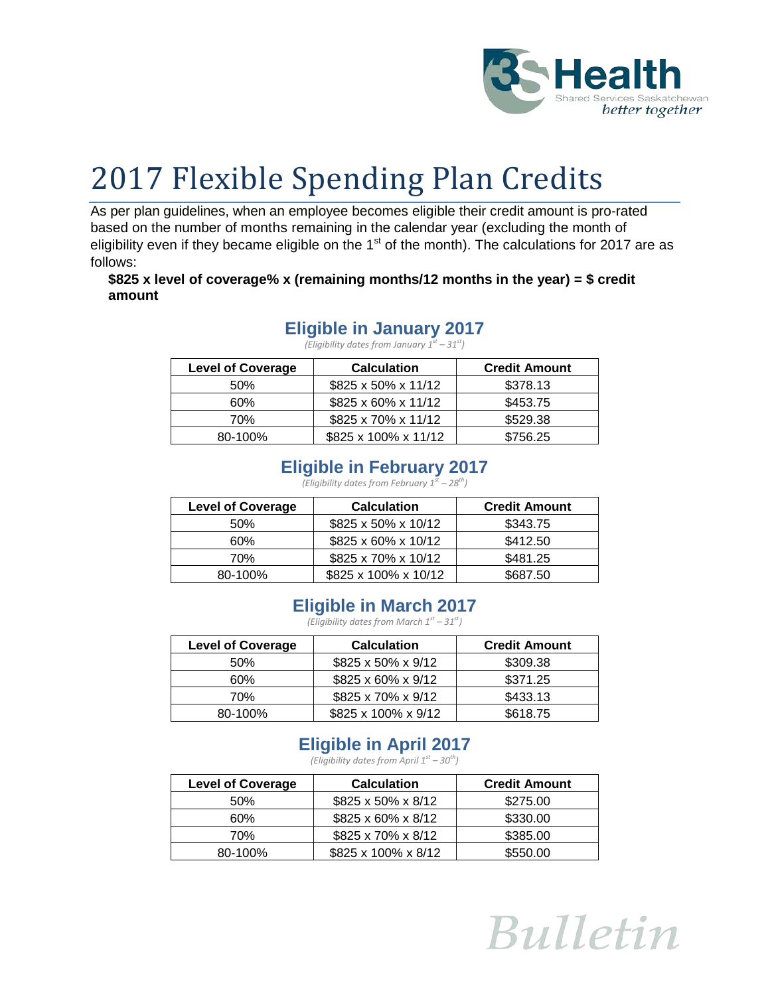

# 2017 Flexible Spending Plan Credits

As per plan guidelines, when an employee becomes eligible their credit amount is pro-rated based on the number of months remaining in the calendar year (excluding the month of eligibility even if they became eligible on the  $1<sup>st</sup>$  of the month). The calculations for 2017 are as follows:

#### **\$825 x level of coverage% x (remaining months/12 months in the year) = \$ credit amount**

#### **Eligible in January 2017**

*(Eligibility dates from January 1st – 31st)*

| <b>Level of Coverage</b> | <b>Calculation</b>   | <b>Credit Amount</b> |
|--------------------------|----------------------|----------------------|
| 50%                      | \$825 x 50% x 11/12  | \$378.13             |
| 60%                      | \$825 x 60% x 11/12  | \$453.75             |
| 70%                      | \$825 x 70% x 11/12  | \$529.38             |
| 80-100%                  | \$825 x 100% x 11/12 | \$756.25             |

## **Eligible in February 2017**

*(Eligibility dates from February*  $1^{st}$  *– 28<sup>th</sup>)* 

| <b>Level of Coverage</b> | <b>Calculation</b>   | <b>Credit Amount</b> |
|--------------------------|----------------------|----------------------|
| 50%                      | \$825 x 50% x 10/12  | \$343.75             |
| 60%                      | \$825 x 60% x 10/12  | \$412.50             |
| 70%                      | \$825 x 70% x 10/12  | \$481.25             |
| 80-100%                  | \$825 x 100% x 10/12 | \$687.50             |

# **Eligible in March 2017**

*(Eligibility dates from March 1st – 31st)*

| <b>Level of Coverage</b> | <b>Calculation</b>  | <b>Credit Amount</b> |
|--------------------------|---------------------|----------------------|
| 50%                      | \$825 x 50% x 9/12  | \$309.38             |
| 60%                      | \$825 x 60% x 9/12  | \$371.25             |
| 70%                      | \$825 x 70% x 9/12  | \$433.13             |
| 80-100%                  | \$825 x 100% x 9/12 | \$618.75             |

# **Eligible in April 2017**

*(Eligibility dates from April 1st – 30th)*

| <b>Level of Coverage</b> | <b>Calculation</b>  | <b>Credit Amount</b> |
|--------------------------|---------------------|----------------------|
| 50%                      | \$825 x 50% x 8/12  | \$275.00             |
| 60%                      | \$825 x 60% x 8/12  | \$330.00             |
| 70%                      | \$825 x 70% x 8/12  | \$385.00             |
| 80-100%                  | \$825 x 100% x 8/12 | \$550.00             |

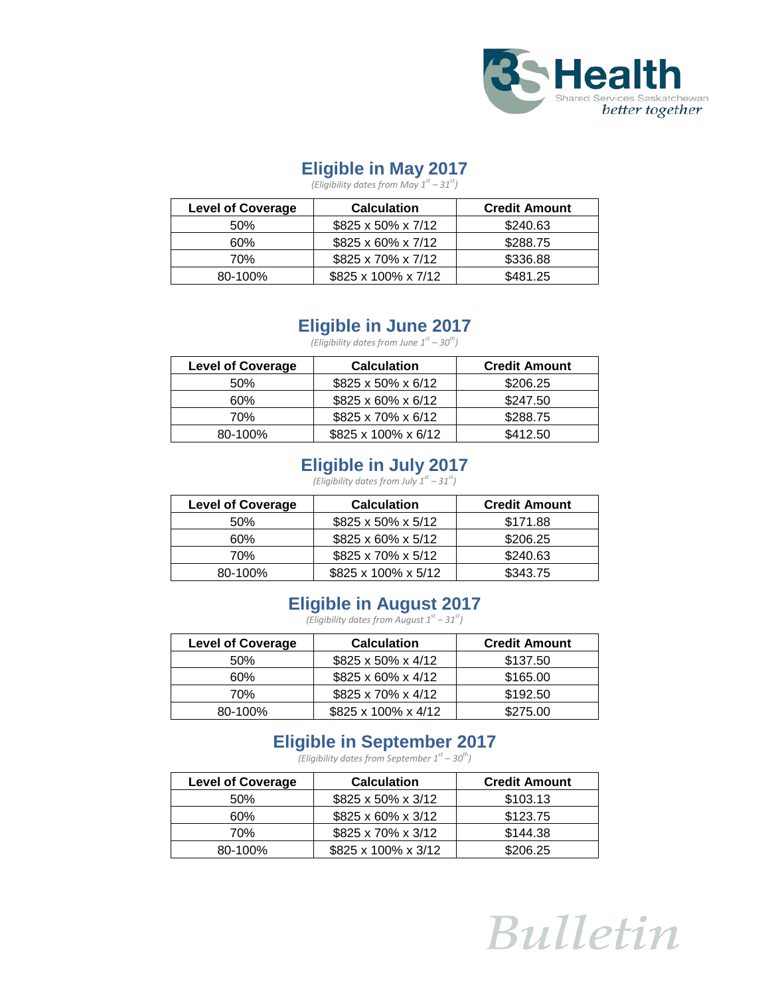

### **Eligible in May 2017**

*(Eligibility dates from May 1st – 31st)*

| <b>Level of Coverage</b> | <b>Calculation</b>  | <b>Credit Amount</b> |
|--------------------------|---------------------|----------------------|
| 50%                      | \$825 x 50% x 7/12  | \$240.63             |
| 60%                      | \$825 x 60% x 7/12  | \$288.75             |
| 70%                      | \$825 x 70% x 7/12  | \$336.88             |
| 80-100%                  | \$825 x 100% x 7/12 | \$481.25             |

# **Eligible in June 2017**

*(Eligibility dates from June 1st – 30th)*

| <b>Level of Coverage</b> | <b>Calculation</b>  | <b>Credit Amount</b> |
|--------------------------|---------------------|----------------------|
| 50%                      | \$825 x 50% x 6/12  | \$206.25             |
| 60%                      | \$825 x 60% x 6/12  | \$247.50             |
| 70%                      | \$825 x 70% x 6/12  | \$288.75             |
| 80-100%                  | \$825 x 100% x 6/12 | \$412.50             |

# **Eligible in July 2017**

*(Eligibility dates from July 1st – 31st)*

| <b>Level of Coverage</b> | <b>Calculation</b>  | <b>Credit Amount</b> |
|--------------------------|---------------------|----------------------|
| 50%                      | \$825 x 50% x 5/12  | \$171.88             |
| 60%                      | \$825 x 60% x 5/12  | \$206.25             |
| 70%                      | \$825 x 70% x 5/12  | \$240.63             |
| 80-100%                  | \$825 x 100% x 5/12 | \$343.75             |

# **Eligible in August 2017**

*(Eligibility dates from August 1st – 31st)*

| <b>Level of Coverage</b> | <b>Calculation</b>  | <b>Credit Amount</b> |
|--------------------------|---------------------|----------------------|
| 50%                      | \$825 x 50% x 4/12  | \$137.50             |
| 60%                      | \$825 x 60% x 4/12  | \$165.00             |
| 70%                      | \$825 x 70% x 4/12  | \$192.50             |
| 80-100%                  | \$825 x 100% x 4/12 | \$275.00             |

# **Eligible in September 2017**

*(Eligibility dates from September 1st – 30th)*

| <b>Level of Coverage</b> | <b>Calculation</b>  | <b>Credit Amount</b> |
|--------------------------|---------------------|----------------------|
| 50%                      | \$825 x 50% x 3/12  | \$103.13             |
| 60%                      | \$825 x 60% x 3/12  | \$123.75             |
| 70%                      | \$825 x 70% x 3/12  | \$144.38             |
| 80-100%                  | \$825 x 100% x 3/12 | \$206.25             |